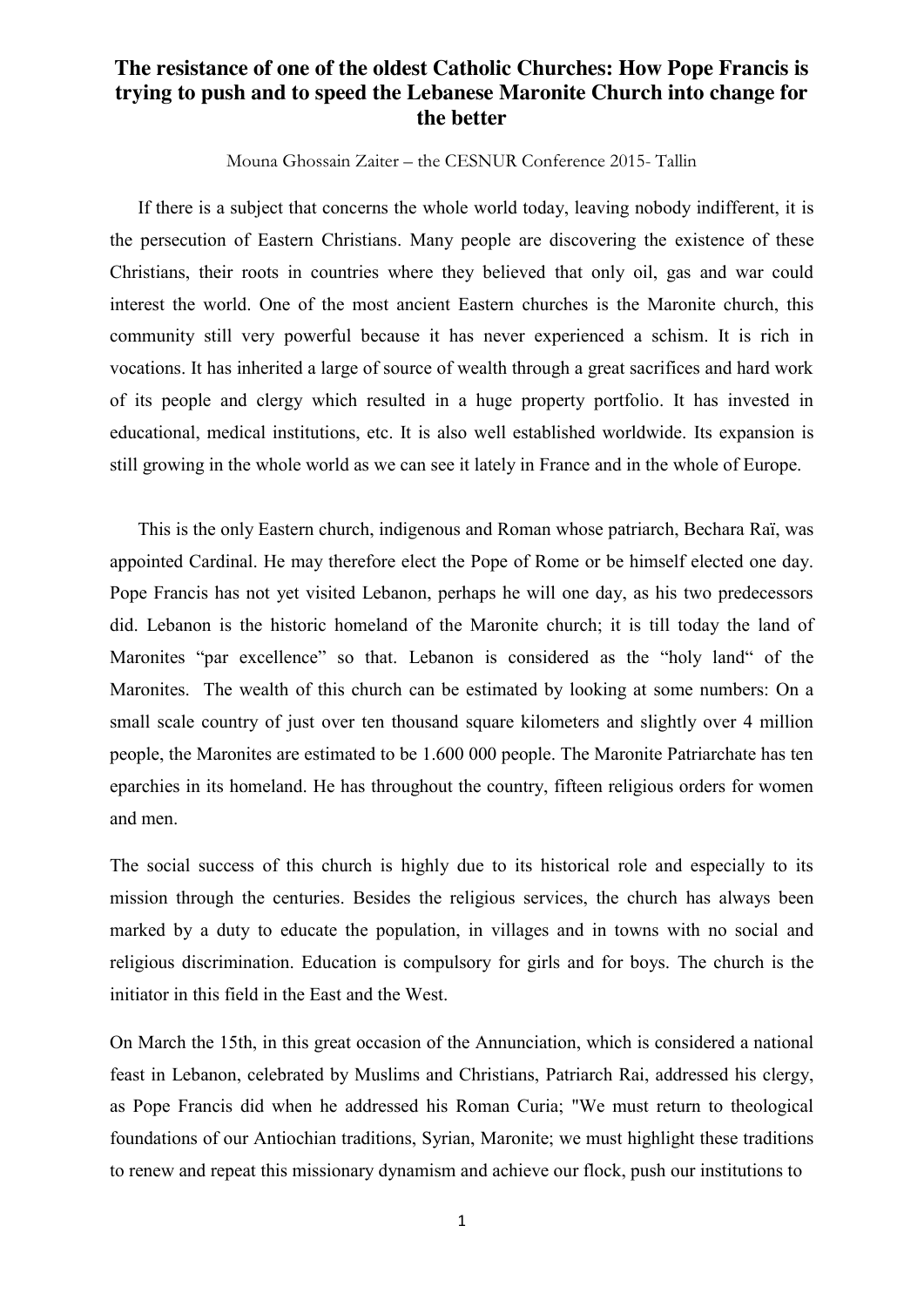Mouna Ghossain Zaiter – the CESNUR Conference 2015- Tallin

 If there is a subject that concerns the whole world today, leaving nobody indifferent, it is the persecution of Eastern Christians. Many people are discovering the existence of these Christians, their roots in countries where they believed that only oil, gas and war could interest the world. One of the most ancient Eastern churches is the Maronite church, this community still very powerful because it has never experienced a schism. It is rich in vocations. It has inherited a large of source of wealth through a great sacrifices and hard work of its people and clergy which resulted in a huge property portfolio. It has invested in educational, medical institutions, etc. It is also well established worldwide. Its expansion is still growing in the whole world as we can see it lately in France and in the whole of Europe.

 This is the only Eastern church, indigenous and Roman whose patriarch, Bechara Raï, was appointed Cardinal. He may therefore elect the Pope of Rome or be himself elected one day. Pope Francis has not yet visited Lebanon, perhaps he will one day, as his two predecessors did. Lebanon is the historic homeland of the Maronite church; it is till today the land of Maronites "par excellence" so that. Lebanon is considered as the "holy land" of the Maronites. The wealth of this church can be estimated by looking at some numbers: On a small scale country of just over ten thousand square kilometers and slightly over 4 million people, the Maronites are estimated to be 1.600 000 people. The Maronite Patriarchate has ten eparchies in its homeland. He has throughout the country, fifteen religious orders for women and men.

The social success of this church is highly due to its historical role and especially to its mission through the centuries. Besides the religious services, the church has always been marked by a duty to educate the population, in villages and in towns with no social and religious discrimination. Education is compulsory for girls and for boys. The church is the initiator in this field in the East and the West.

On March the 15th, in this great occasion of the Annunciation, which is considered a national feast in Lebanon, celebrated by Muslims and Christians, Patriarch Rai, addressed his clergy, as Pope Francis did when he addressed his Roman Curia; "We must return to theological foundations of our Antiochian traditions, Syrian, Maronite; we must highlight these traditions to renew and repeat this missionary dynamism and achieve our flock, push our institutions to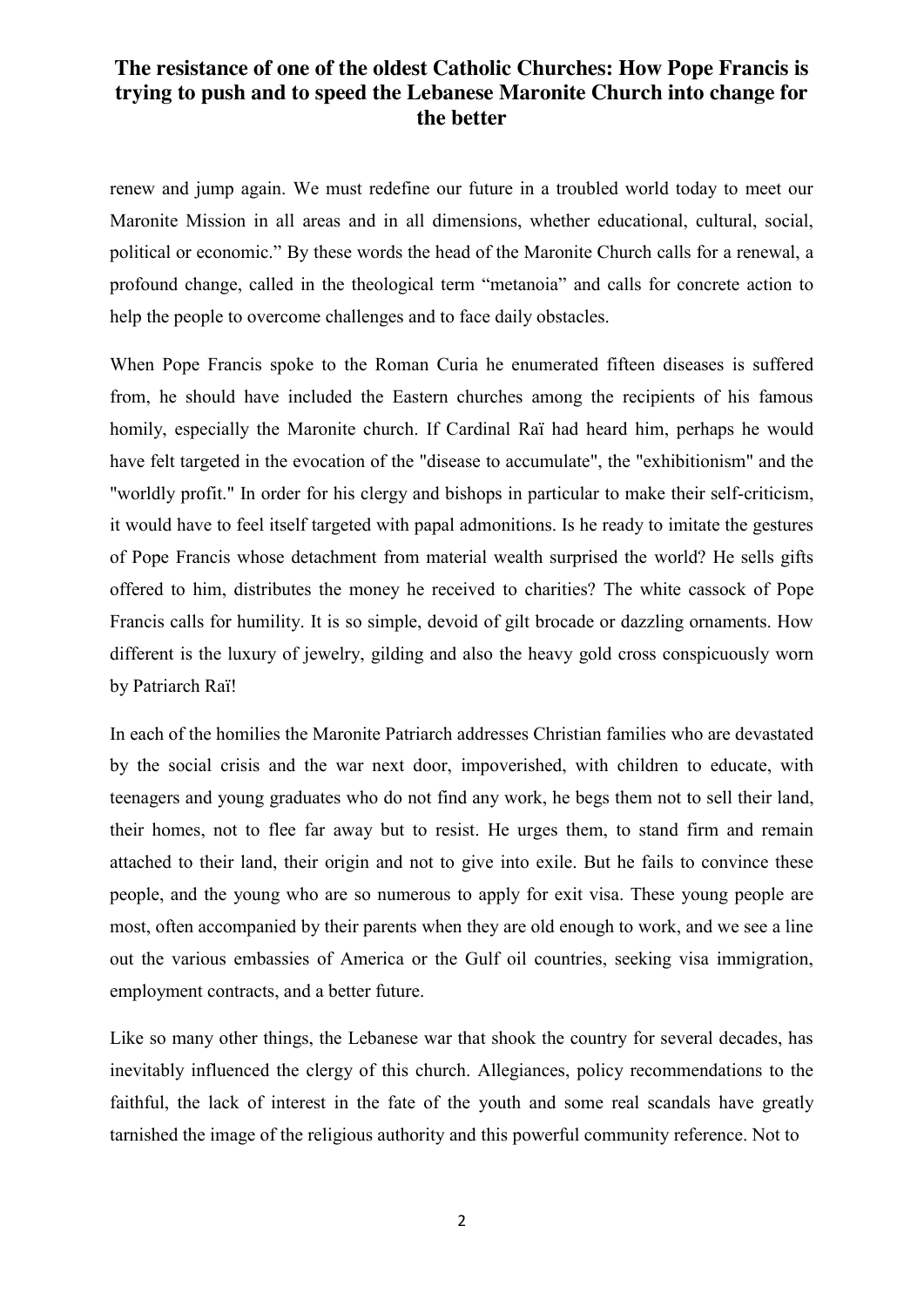renew and jump again. We must redefine our future in a troubled world today to meet our Maronite Mission in all areas and in all dimensions, whether educational, cultural, social, political or economic." By these words the head of the Maronite Church calls for a renewal, a profound change, called in the theological term "metanoia" and calls for concrete action to help the people to overcome challenges and to face daily obstacles.

When Pope Francis spoke to the Roman Curia he enumerated fifteen diseases is suffered from, he should have included the Eastern churches among the recipients of his famous homily, especially the Maronite church. If Cardinal Raï had heard him, perhaps he would have felt targeted in the evocation of the "disease to accumulate", the "exhibitionism" and the "worldly profit." In order for his clergy and bishops in particular to make their self-criticism, it would have to feel itself targeted with papal admonitions. Is he ready to imitate the gestures of Pope Francis whose detachment from material wealth surprised the world? He sells gifts offered to him, distributes the money he received to charities? The white cassock of Pope Francis calls for humility. It is so simple, devoid of gilt brocade or dazzling ornaments. How different is the luxury of jewelry, gilding and also the heavy gold cross conspicuously worn by Patriarch Raï!

In each of the homilies the Maronite Patriarch addresses Christian families who are devastated by the social crisis and the war next door, impoverished, with children to educate, with teenagers and young graduates who do not find any work, he begs them not to sell their land, their homes, not to flee far away but to resist. He urges them, to stand firm and remain attached to their land, their origin and not to give into exile. But he fails to convince these people, and the young who are so numerous to apply for exit visa. These young people are most, often accompanied by their parents when they are old enough to work, and we see a line out the various embassies of America or the Gulf oil countries, seeking visa immigration, employment contracts, and a better future.

Like so many other things, the Lebanese war that shook the country for several decades, has inevitably influenced the clergy of this church. Allegiances, policy recommendations to the faithful, the lack of interest in the fate of the youth and some real scandals have greatly tarnished the image of the religious authority and this powerful community reference. Not to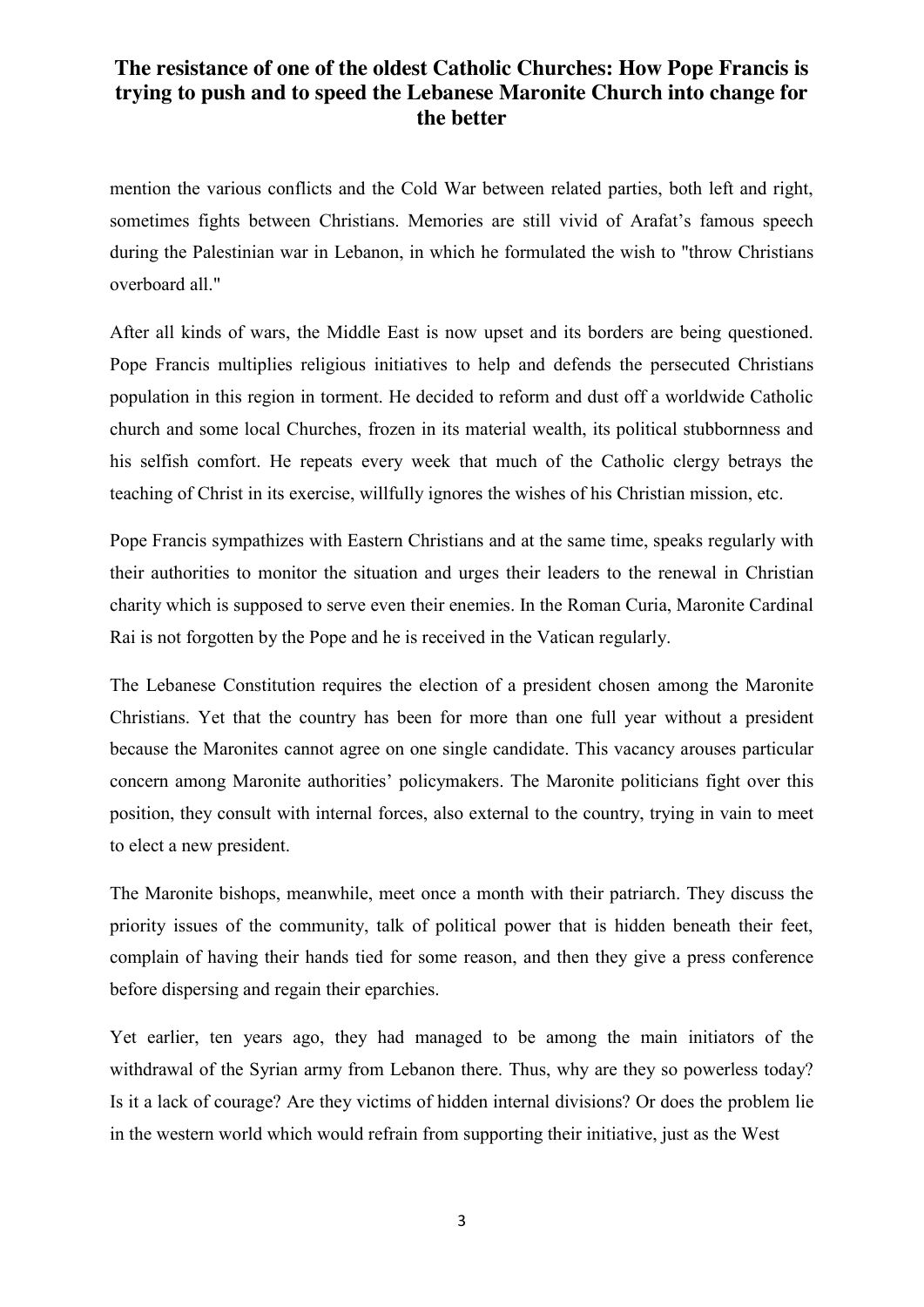mention the various conflicts and the Cold War between related parties, both left and right, sometimes fights between Christians. Memories are still vivid of Arafat's famous speech during the Palestinian war in Lebanon, in which he formulated the wish to "throw Christians overboard all."

After all kinds of wars, the Middle East is now upset and its borders are being questioned. Pope Francis multiplies religious initiatives to help and defends the persecuted Christians population in this region in torment. He decided to reform and dust off a worldwide Catholic church and some local Churches, frozen in its material wealth, its political stubbornness and his selfish comfort. He repeats every week that much of the Catholic clergy betrays the teaching of Christ in its exercise, willfully ignores the wishes of his Christian mission, etc.

Pope Francis sympathizes with Eastern Christians and at the same time, speaks regularly with their authorities to monitor the situation and urges their leaders to the renewal in Christian charity which is supposed to serve even their enemies. In the Roman Curia, Maronite Cardinal Rai is not forgotten by the Pope and he is received in the Vatican regularly.

The Lebanese Constitution requires the election of a president chosen among the Maronite Christians. Yet that the country has been for more than one full year without a president because the Maronites cannot agree on one single candidate. This vacancy arouses particular concern among Maronite authorities' policymakers. The Maronite politicians fight over this position, they consult with internal forces, also external to the country, trying in vain to meet to elect a new president.

The Maronite bishops, meanwhile, meet once a month with their patriarch. They discuss the priority issues of the community, talk of political power that is hidden beneath their feet, complain of having their hands tied for some reason, and then they give a press conference before dispersing and regain their eparchies.

Yet earlier, ten years ago, they had managed to be among the main initiators of the withdrawal of the Syrian army from Lebanon there. Thus, why are they so powerless today? Is it a lack of courage? Are they victims of hidden internal divisions? Or does the problem lie in the western world which would refrain from supporting their initiative, just as the West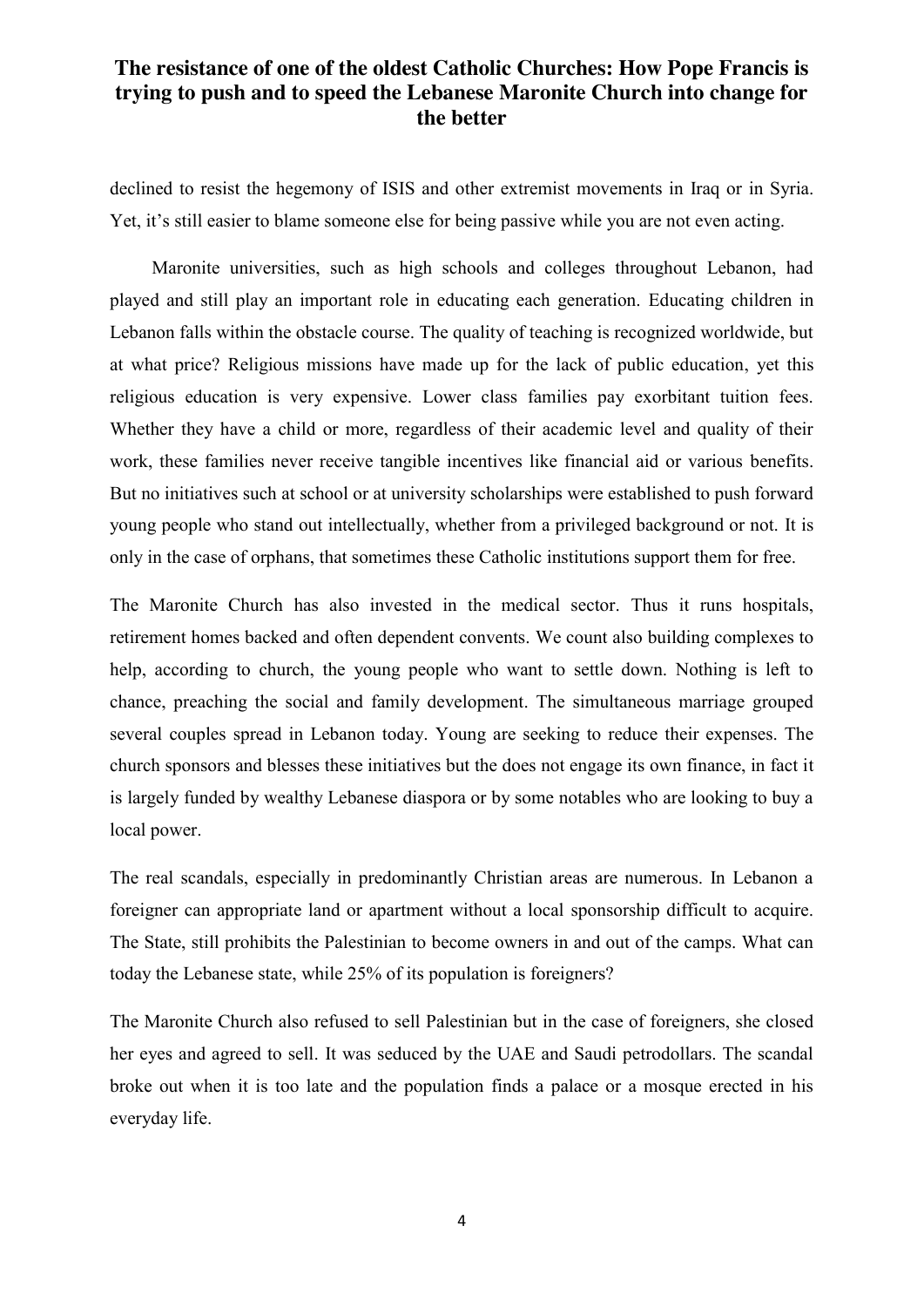declined to resist the hegemony of ISIS and other extremist movements in Iraq or in Syria. Yet, it's still easier to blame someone else for being passive while you are not even acting.

 Maronite universities, such as high schools and colleges throughout Lebanon, had played and still play an important role in educating each generation. Educating children in Lebanon falls within the obstacle course. The quality of teaching is recognized worldwide, but at what price? Religious missions have made up for the lack of public education, yet this religious education is very expensive. Lower class families pay exorbitant tuition fees. Whether they have a child or more, regardless of their academic level and quality of their work, these families never receive tangible incentives like financial aid or various benefits. But no initiatives such at school or at university scholarships were established to push forward young people who stand out intellectually, whether from a privileged background or not. It is only in the case of orphans, that sometimes these Catholic institutions support them for free.

The Maronite Church has also invested in the medical sector. Thus it runs hospitals, retirement homes backed and often dependent convents. We count also building complexes to help, according to church, the young people who want to settle down. Nothing is left to chance, preaching the social and family development. The simultaneous marriage grouped several couples spread in Lebanon today. Young are seeking to reduce their expenses. The church sponsors and blesses these initiatives but the does not engage its own finance, in fact it is largely funded by wealthy Lebanese diaspora or by some notables who are looking to buy a local power.

The real scandals, especially in predominantly Christian areas are numerous. In Lebanon a foreigner can appropriate land or apartment without a local sponsorship difficult to acquire. The State, still prohibits the Palestinian to become owners in and out of the camps. What can today the Lebanese state, while 25% of its population is foreigners?

The Maronite Church also refused to sell Palestinian but in the case of foreigners, she closed her eyes and agreed to sell. It was seduced by the UAE and Saudi petrodollars. The scandal broke out when it is too late and the population finds a palace or a mosque erected in his everyday life.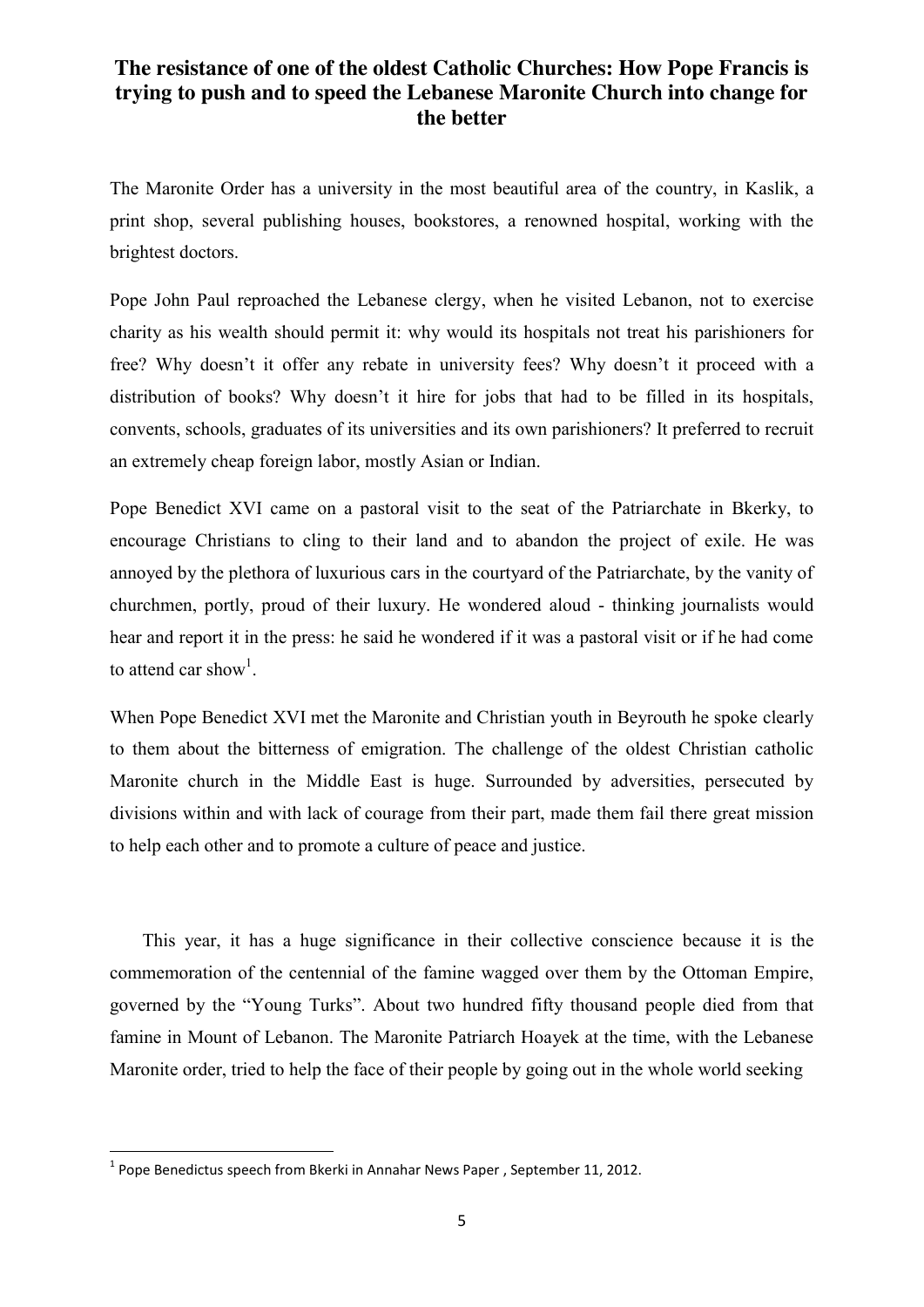The Maronite Order has a university in the most beautiful area of the country, in Kaslik, a print shop, several publishing houses, bookstores, a renowned hospital, working with the brightest doctors.

Pope John Paul reproached the Lebanese clergy, when he visited Lebanon, not to exercise charity as his wealth should permit it: why would its hospitals not treat his parishioners for free? Why doesn't it offer any rebate in university fees? Why doesn't it proceed with a distribution of books? Why doesn't it hire for jobs that had to be filled in its hospitals, convents, schools, graduates of its universities and its own parishioners? It preferred to recruit an extremely cheap foreign labor, mostly Asian or Indian.

Pope Benedict XVI came on a pastoral visit to the seat of the Patriarchate in Bkerky, to encourage Christians to cling to their land and to abandon the project of exile. He was annoyed by the plethora of luxurious cars in the courtyard of the Patriarchate, by the vanity of churchmen, portly, proud of their luxury. He wondered aloud - thinking journalists would hear and report it in the press: he said he wondered if it was a pastoral visit or if he had come to attend car show<sup>1</sup>.

When Pope Benedict XVI met the Maronite and Christian youth in Beyrouth he spoke clearly to them about the bitterness of emigration. The challenge of the oldest Christian catholic Maronite church in the Middle East is huge. Surrounded by adversities, persecuted by divisions within and with lack of courage from their part, made them fail there great mission to help each other and to promote a culture of peace and justice.

 This year, it has a huge significance in their collective conscience because it is the commemoration of the centennial of the famine wagged over them by the Ottoman Empire, governed by the "Young Turks". About two hundred fifty thousand people died from that famine in Mount of Lebanon. The Maronite Patriarch Hoayek at the time, with the Lebanese Maronite order, tried to help the face of their people by going out in the whole world seeking

 $1$  Pope Benedictus speech from Bkerki in Annahar News Paper, September 11, 2012.